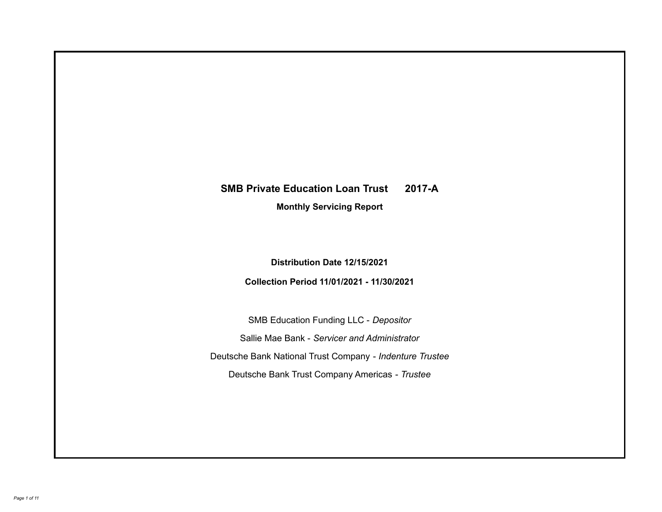# **SMB Private Education Loan Trust 2017-A**

**Monthly Servicing Report**

**Distribution Date 12/15/2021**

**Collection Period 11/01/2021 - 11/30/2021**

SMB Education Funding LLC - *Depositor* Sallie Mae Bank - *Servicer and Administrator* Deutsche Bank National Trust Company - *Indenture Trustee* Deutsche Bank Trust Company Americas - *Trustee*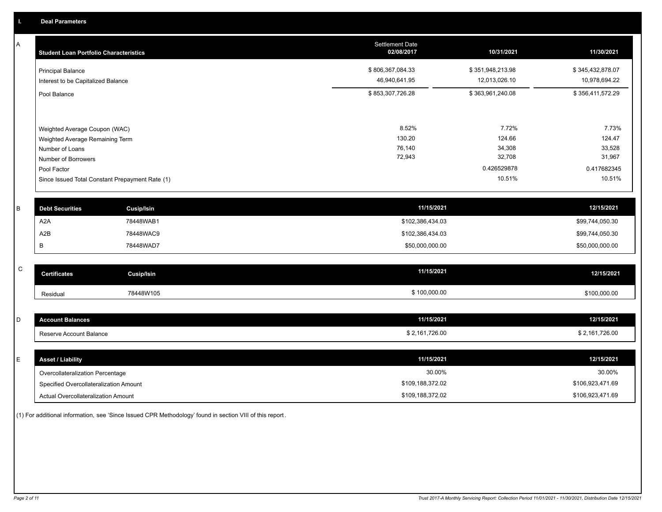A

| A | <b>Student Loan Portfolio Characteristics</b> |                                                 | Settlement Date<br>02/08/2017 | 10/31/2021            | 11/30/2021            |
|---|-----------------------------------------------|-------------------------------------------------|-------------------------------|-----------------------|-----------------------|
|   | <b>Principal Balance</b>                      |                                                 | \$806,367,084.33              | \$351,948,213.98      | \$345,432,878.07      |
|   | Interest to be Capitalized Balance            |                                                 | 46,940,641.95                 | 12,013,026.10         | 10,978,694.22         |
|   | Pool Balance                                  |                                                 | \$853,307,726.28              | \$363,961,240.08      | \$356,411,572.29      |
|   |                                               |                                                 |                               |                       |                       |
|   | Weighted Average Coupon (WAC)                 |                                                 | 8.52%                         | 7.72%                 | 7.73%                 |
|   | Weighted Average Remaining Term               |                                                 | 130.20                        | 124.66                | 124.47                |
|   | Number of Loans                               |                                                 | 76,140                        | 34,308                | 33,528                |
|   | Number of Borrowers                           |                                                 | 72,943                        | 32,708                | 31,967                |
|   | Pool Factor                                   |                                                 |                               | 0.426529878<br>10.51% | 0.417682345<br>10.51% |
|   |                                               | Since Issued Total Constant Prepayment Rate (1) |                               |                       |                       |
| B | <b>Debt Securities</b>                        | <b>Cusip/Isin</b>                               | 11/15/2021                    |                       | 12/15/2021            |
|   | A <sub>2</sub> A                              | 78448WAB1                                       | \$102,386,434.03              |                       | \$99,744,050.30       |
|   | A2B                                           | 78448WAC9                                       | \$102,386,434.03              |                       | \$99,744,050.30       |
|   | В                                             | 78448WAD7                                       | \$50,000,000.00               |                       | \$50,000,000.00       |
| C |                                               |                                                 |                               |                       |                       |
|   | <b>Certificates</b>                           | <b>Cusip/Isin</b>                               | 11/15/2021                    |                       | 12/15/2021            |
|   | Residual                                      | 78448W105                                       | \$100,000.00                  |                       | \$100,000.00          |
| D | <b>Account Balances</b>                       |                                                 | 11/15/2021                    |                       | 12/15/2021            |
|   |                                               |                                                 |                               |                       |                       |
|   | Reserve Account Balance                       |                                                 | \$2,161,726.00                |                       | \$2,161,726.00        |
| E | <b>Asset / Liability</b>                      |                                                 | 11/15/2021                    |                       | 12/15/2021            |
|   | Overcollateralization Percentage              |                                                 | 30.00%                        |                       | 30.00%                |
|   | Specified Overcollateralization Amount        |                                                 | \$109,188,372.02              |                       | \$106,923,471.69      |

Actual Overcollateralization Amount \$109,188,372.02 Specified Overcollateralization Amount

(1) For additional information, see 'Since Issued CPR Methodology' found in section VIII of this report .

\$106,923,471.69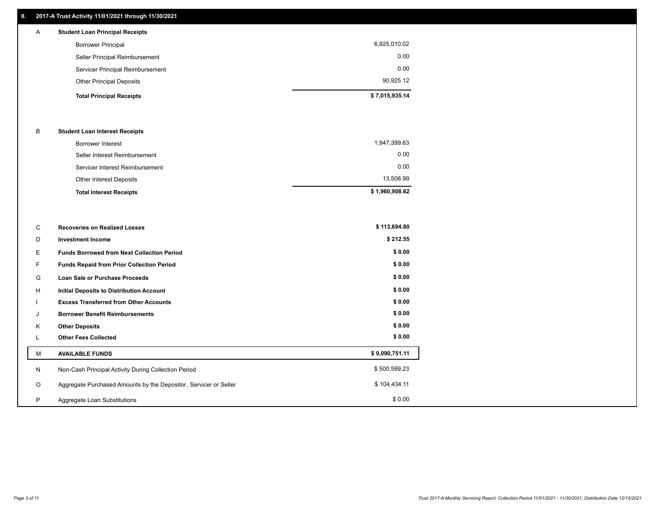## **II. 2017-A Trust Activity 11/01/2021 through 11/30/2021**

## **Total Principal Receipts \$ 7,015,935.14**  Other Principal Deposits 90,925.12 Servicer Principal Reimbursement 0.00 Seller Principal Reimbursement 0.00 Borrower Principal 6,925,010.02 A **Student Loan Principal Receipts**

## B **Student Loan Interest Receipts**

| <b>Total Interest Receipts</b>  | \$1,960,908.62 |
|---------------------------------|----------------|
| Other Interest Deposits         | 13,508.99      |
| Servicer Interest Reimbursement | 0.00           |
| Seller Interest Reimbursement   | 0.00           |
| Borrower Interest               | 1,947,399.63   |

| С        | <b>Recoveries on Realized Losses</b>                             | \$113,694.80   |
|----------|------------------------------------------------------------------|----------------|
| D        | <b>Investment Income</b>                                         | \$212.55       |
| Е        | <b>Funds Borrowed from Next Collection Period</b>                | \$0.00         |
| F.       | Funds Repaid from Prior Collection Period                        | \$0.00         |
| G        | Loan Sale or Purchase Proceeds                                   | \$0.00         |
| H        | Initial Deposits to Distribution Account                         | \$0.00         |
|          | <b>Excess Transferred from Other Accounts</b>                    | \$0.00         |
| J        | <b>Borrower Benefit Reimbursements</b>                           | \$0.00         |
| K        | <b>Other Deposits</b>                                            | \$0.00         |
| <b>L</b> | <b>Other Fees Collected</b>                                      | \$0.00         |
| М        | <b>AVAILABLE FUNDS</b>                                           | \$9,090,751.11 |
| N        | Non-Cash Principal Activity During Collection Period             | \$500,599.23   |
| $\circ$  | Aggregate Purchased Amounts by the Depositor, Servicer or Seller | \$104,434.11   |
| P        | Aggregate Loan Substitutions                                     | \$0.00         |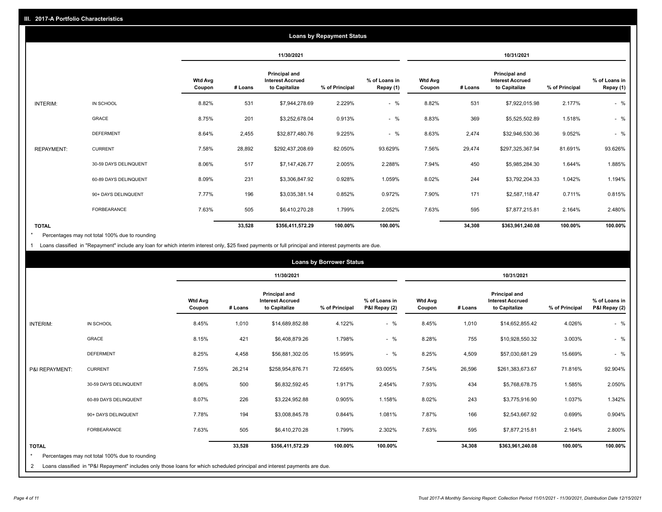|                   |                       |                          |         |                                                           | <b>Loans by Repayment Status</b> |                            |                          |         |                                                           |                |                            |
|-------------------|-----------------------|--------------------------|---------|-----------------------------------------------------------|----------------------------------|----------------------------|--------------------------|---------|-----------------------------------------------------------|----------------|----------------------------|
|                   |                       |                          |         | 11/30/2021                                                |                                  |                            |                          |         | 10/31/2021                                                |                |                            |
|                   |                       | <b>Wtd Avg</b><br>Coupon | # Loans | Principal and<br><b>Interest Accrued</b><br>to Capitalize | % of Principal                   | % of Loans in<br>Repay (1) | <b>Wtd Avg</b><br>Coupon | # Loans | Principal and<br><b>Interest Accrued</b><br>to Capitalize | % of Principal | % of Loans in<br>Repay (1) |
| INTERIM:          | IN SCHOOL             | 8.82%                    | 531     | \$7,944,278.69                                            | 2.229%                           | $-$ %                      | 8.82%                    | 531     | \$7,922,015.98                                            | 2.177%         | $-$ %                      |
|                   | GRACE                 | 8.75%                    | 201     | \$3,252,678.04                                            | 0.913%                           | $-$ %                      | 8.83%                    | 369     | \$5,525,502.89                                            | 1.518%         | $-$ %                      |
|                   | <b>DEFERMENT</b>      | 8.64%                    | 2,455   | \$32,877,480.76                                           | 9.225%                           | $-$ %                      | 8.63%                    | 2,474   | \$32,946,530.36                                           | 9.052%         | $-$ %                      |
| <b>REPAYMENT:</b> | <b>CURRENT</b>        | 7.58%                    | 28,892  | \$292,437,208.69                                          | 82.050%                          | 93.629%                    | 7.56%                    | 29,474  | \$297,325,367.94                                          | 81.691%        | 93.626%                    |
|                   | 30-59 DAYS DELINQUENT | 8.06%                    | 517     | \$7,147,426.77                                            | 2.005%                           | 2.288%                     | 7.94%                    | 450     | \$5,985,284.30                                            | 1.644%         | 1.885%                     |
|                   | 60-89 DAYS DELINQUENT | 8.09%                    | 231     | \$3,306,847.92                                            | 0.928%                           | 1.059%                     | 8.02%                    | 244     | \$3,792,204.33                                            | 1.042%         | 1.194%                     |
|                   | 90+ DAYS DELINQUENT   | 7.77%                    | 196     | \$3,035,381.14                                            | 0.852%                           | 0.972%                     | 7.90%                    | 171     | \$2,587,118.47                                            | 0.711%         | 0.815%                     |
|                   | FORBEARANCE           | 7.63%                    | 505     | \$6,410,270.28                                            | 1.799%                           | 2.052%                     | 7.63%                    | 595     | \$7,877,215.81                                            | 2.164%         | 2.480%                     |
| <b>TOTAL</b>      |                       |                          | 33,528  | \$356,411,572.29                                          | 100.00%                          | 100.00%                    |                          | 34,308  | \$363,961,240.08                                          | 100.00%        | 100.00%                    |

Percentages may not total 100% due to rounding \*

1 Loans classified in "Repayment" include any loan for which interim interest only, \$25 fixed payments or full principal and interest payments are due.

|                         | <b>Loans by Borrower Status</b>                                                                                            |                          |         |                                                                  |                |                                |                          |         |                                                                  |                |                                |
|-------------------------|----------------------------------------------------------------------------------------------------------------------------|--------------------------|---------|------------------------------------------------------------------|----------------|--------------------------------|--------------------------|---------|------------------------------------------------------------------|----------------|--------------------------------|
|                         |                                                                                                                            |                          |         | 11/30/2021                                                       |                |                                | 10/31/2021               |         |                                                                  |                |                                |
|                         |                                                                                                                            | <b>Wtd Avg</b><br>Coupon | # Loans | <b>Principal and</b><br><b>Interest Accrued</b><br>to Capitalize | % of Principal | % of Loans in<br>P&I Repay (2) | <b>Wtd Avg</b><br>Coupon | # Loans | <b>Principal and</b><br><b>Interest Accrued</b><br>to Capitalize | % of Principal | % of Loans in<br>P&I Repay (2) |
| <b>INTERIM:</b>         | IN SCHOOL                                                                                                                  | 8.45%                    | 1,010   | \$14,689,852.88                                                  | 4.122%         | $-$ %                          | 8.45%                    | 1,010   | \$14,652,855.42                                                  | 4.026%         | $-$ %                          |
|                         | <b>GRACE</b>                                                                                                               | 8.15%                    | 421     | \$6,408,879.26                                                   | 1.798%         | $-$ %                          | 8.28%                    | 755     | \$10,928,550.32                                                  | 3.003%         | $-$ %                          |
|                         | <b>DEFERMENT</b>                                                                                                           | 8.25%                    | 4,458   | \$56,881,302.05                                                  | 15.959%        | $-$ %                          | 8.25%                    | 4,509   | \$57,030,681.29                                                  | 15.669%        | $-$ %                          |
| P&I REPAYMENT:          | <b>CURRENT</b>                                                                                                             | 7.55%                    | 26,214  | \$258,954,876.71                                                 | 72.656%        | 93.005%                        | 7.54%                    | 26,596  | \$261,383,673.67                                                 | 71.816%        | 92.904%                        |
|                         | 30-59 DAYS DELINQUENT                                                                                                      | 8.06%                    | 500     | \$6,832,592.45                                                   | 1.917%         | 2.454%                         | 7.93%                    | 434     | \$5,768,678.75                                                   | 1.585%         | 2.050%                         |
|                         | 60-89 DAYS DELINQUENT                                                                                                      | 8.07%                    | 226     | \$3,224,952.88                                                   | 0.905%         | 1.158%                         | 8.02%                    | 243     | \$3,775,916.90                                                   | 1.037%         | 1.342%                         |
|                         | 90+ DAYS DELINQUENT                                                                                                        | 7.78%                    | 194     | \$3,008,845.78                                                   | 0.844%         | 1.081%                         | 7.87%                    | 166     | \$2,543,667.92                                                   | 0.699%         | 0.904%                         |
|                         | <b>FORBEARANCE</b>                                                                                                         | 7.63%                    | 505     | \$6,410,270.28                                                   | 1.799%         | 2.302%                         | 7.63%                    | 595     | \$7,877,215.81                                                   | 2.164%         | 2.800%                         |
| <b>TOTAL</b><br>$\star$ | Percentages may not total 100% due to rounding                                                                             |                          | 33,528  | \$356,411,572.29                                                 | 100.00%        | 100.00%                        |                          | 34,308  | \$363,961,240.08                                                 | 100.00%        | 100.00%                        |
| 2                       | Loans classified in "P&I Repayment" includes only those loans for which scheduled principal and interest payments are due. |                          |         |                                                                  |                |                                |                          |         |                                                                  |                |                                |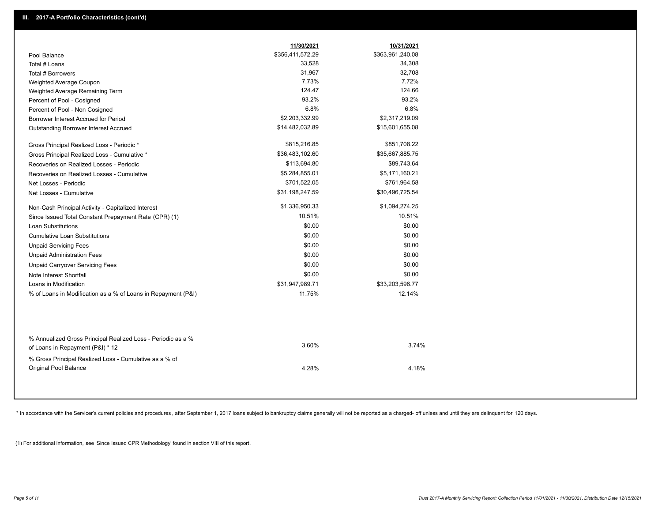|                                                                                        | 11/30/2021       | 10/31/2021       |  |
|----------------------------------------------------------------------------------------|------------------|------------------|--|
| Pool Balance                                                                           | \$356,411,572.29 | \$363,961,240.08 |  |
| Total # Loans                                                                          | 33,528           | 34,308           |  |
| Total # Borrowers                                                                      | 31,967           | 32,708           |  |
| Weighted Average Coupon                                                                | 7.73%            | 7.72%            |  |
| Weighted Average Remaining Term                                                        | 124.47           | 124.66           |  |
| Percent of Pool - Cosigned                                                             | 93.2%            | 93.2%            |  |
| Percent of Pool - Non Cosigned                                                         | 6.8%             | 6.8%             |  |
| Borrower Interest Accrued for Period                                                   | \$2,203,332.99   | \$2,317,219.09   |  |
| Outstanding Borrower Interest Accrued                                                  | \$14,482,032.89  | \$15,601,655.08  |  |
| Gross Principal Realized Loss - Periodic *                                             | \$815,216.85     | \$851,708.22     |  |
| Gross Principal Realized Loss - Cumulative *                                           | \$36,483,102.60  | \$35,667,885.75  |  |
| Recoveries on Realized Losses - Periodic                                               | \$113,694.80     | \$89,743.64      |  |
| Recoveries on Realized Losses - Cumulative                                             | \$5,284,855.01   | \$5,171,160.21   |  |
| Net Losses - Periodic                                                                  | \$701,522.05     | \$761,964.58     |  |
| Net Losses - Cumulative                                                                | \$31,198,247.59  | \$30,496,725.54  |  |
| Non-Cash Principal Activity - Capitalized Interest                                     | \$1,336,950.33   | \$1,094,274.25   |  |
| Since Issued Total Constant Prepayment Rate (CPR) (1)                                  | 10.51%           | 10.51%           |  |
| <b>Loan Substitutions</b>                                                              | \$0.00           | \$0.00           |  |
| <b>Cumulative Loan Substitutions</b>                                                   | \$0.00           | \$0.00           |  |
| <b>Unpaid Servicing Fees</b>                                                           | \$0.00           | \$0.00           |  |
| <b>Unpaid Administration Fees</b>                                                      | \$0.00           | \$0.00           |  |
| <b>Unpaid Carryover Servicing Fees</b>                                                 | \$0.00           | \$0.00           |  |
| Note Interest Shortfall                                                                | \$0.00           | \$0.00           |  |
| Loans in Modification                                                                  | \$31,947,989.71  | \$33,203,596.77  |  |
| % of Loans in Modification as a % of Loans in Repayment (P&I)                          | 11.75%           | 12.14%           |  |
| % Annualized Gross Principal Realized Loss - Periodic as a %                           |                  |                  |  |
| of Loans in Repayment (P&I) * 12                                                       | 3.60%            | 3.74%            |  |
| % Gross Principal Realized Loss - Cumulative as a % of<br><b>Original Pool Balance</b> | 4.28%            | 4.18%            |  |

\* In accordance with the Servicer's current policies and procedures, after September 1, 2017 loans subject to bankruptcy claims generally will not be reported as a charged- off unless and until they are delinquent for 120

(1) For additional information, see 'Since Issued CPR Methodology' found in section VIII of this report .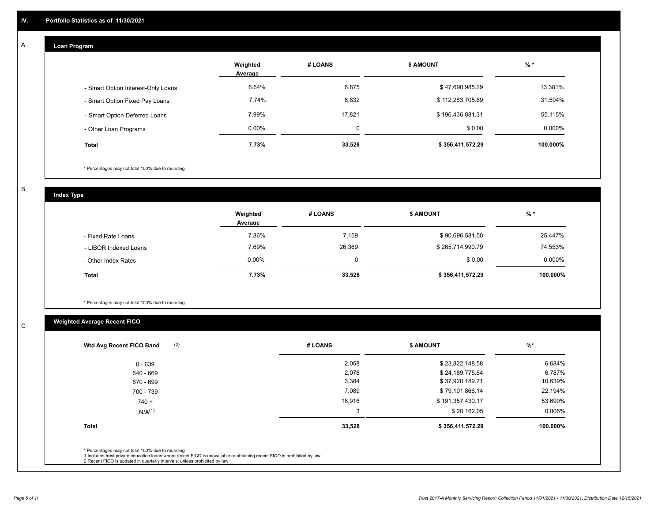#### **Loan Program**  A

|                                    | Weighted<br>Average | # LOANS     | <b>\$ AMOUNT</b> | $%$ *     |
|------------------------------------|---------------------|-------------|------------------|-----------|
| - Smart Option Interest-Only Loans | 6.64%               | 6,875       | \$47,690,985.29  | 13.381%   |
| - Smart Option Fixed Pay Loans     | 7.74%               | 8.832       | \$112,283,705.69 | 31.504%   |
| - Smart Option Deferred Loans      | 7.99%               | 17.821      | \$196,436,881.31 | 55.115%   |
| - Other Loan Programs              | $0.00\%$            | $\mathbf 0$ | \$0.00           | $0.000\%$ |
| <b>Total</b>                       | 7.73%               | 33,528      | \$356,411,572.29 | 100.000%  |

\* Percentages may not total 100% due to rounding

B

C

**Index Type**

|                       | Weighted<br>Average | # LOANS | <b>\$ AMOUNT</b> | % *       |
|-----------------------|---------------------|---------|------------------|-----------|
| - Fixed Rate Loans    | 7.86%               | 7,159   | \$90,696,581.50  | 25.447%   |
| - LIBOR Indexed Loans | 7.69%               | 26,369  | \$265,714,990.79 | 74.553%   |
| - Other Index Rates   | $0.00\%$            | 0       | \$0.00           | $0.000\%$ |
| <b>Total</b>          | 7.73%               | 33,528  | \$356,411,572.29 | 100.000%  |

\* Percentages may not total 100% due to rounding

## **Weighted Average Recent FICO**

| (2)<br>Wtd Avg Recent FICO Band | # LOANS | <b>\$ AMOUNT</b> | $%$ *    |
|---------------------------------|---------|------------------|----------|
| 0 - 639                         | 2,058   | \$23,822,148.58  | 6.684%   |
| 640 - 669                       | 2,078   | \$24,189,775.64  | 6.787%   |
| 670 - 699                       | 3,384   | \$37,920,189.71  | 10.639%  |
| 700 - 739                       | 7,089   | \$79,101,866.14  | 22.194%  |
| $740 +$                         | 18,916  | \$191,357,430.17 | 53.690%  |
| $N/A^{(1)}$                     | 3       | \$20,162.05      | 0.006%   |
| <b>Total</b>                    | 33,528  | \$356,411,572.29 | 100.000% |
|                                 |         |                  |          |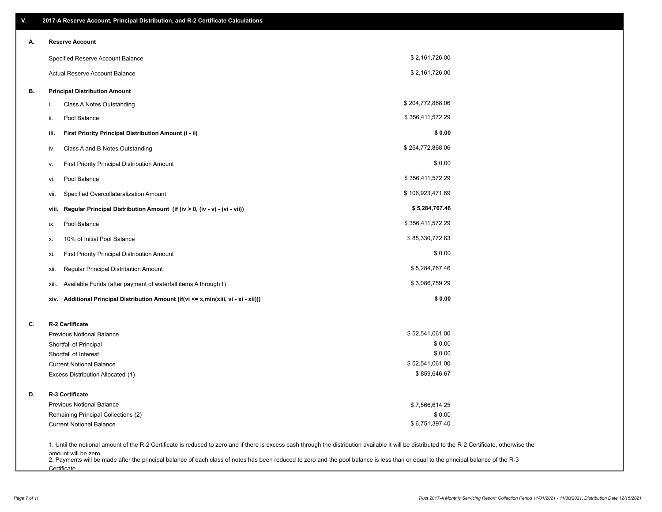| ۷. |       | 2017-A Reserve Account, Principal Distribution, and R-2 Certificate Calculations                                                                                                                           |                  |  |
|----|-------|------------------------------------------------------------------------------------------------------------------------------------------------------------------------------------------------------------|------------------|--|
| А. |       | <b>Reserve Account</b>                                                                                                                                                                                     |                  |  |
|    |       | Specified Reserve Account Balance                                                                                                                                                                          | \$2,161,726.00   |  |
|    |       | Actual Reserve Account Balance                                                                                                                                                                             | \$2,161,726.00   |  |
| В. |       | <b>Principal Distribution Amount</b>                                                                                                                                                                       |                  |  |
|    | i.    | Class A Notes Outstanding                                                                                                                                                                                  | \$204,772,868.06 |  |
|    | ii.   | Pool Balance                                                                                                                                                                                               | \$356,411,572.29 |  |
|    | iii.  | First Priority Principal Distribution Amount (i - ii)                                                                                                                                                      | \$0.00           |  |
|    | iv.   | Class A and B Notes Outstanding                                                                                                                                                                            | \$254,772,868.06 |  |
|    | ۷.    | First Priority Principal Distribution Amount                                                                                                                                                               | \$0.00           |  |
|    | vi.   | Pool Balance                                                                                                                                                                                               | \$356,411,572.29 |  |
|    | vii.  | Specified Overcollateralization Amount                                                                                                                                                                     | \$106,923,471.69 |  |
|    | viii. | Regular Principal Distribution Amount (if (iv > 0, (iv - v) - (vi - vii))                                                                                                                                  | \$5,284,767.46   |  |
|    | ix.   | Pool Balance                                                                                                                                                                                               | \$356,411,572.29 |  |
|    | х.    | 10% of Initial Pool Balance                                                                                                                                                                                | \$85,330,772.63  |  |
|    | xi.   | First Priority Principal Distribution Amount                                                                                                                                                               | \$0.00           |  |
|    | xii.  | Regular Principal Distribution Amount                                                                                                                                                                      | \$5,284,767.46   |  |
|    | xiii. | Available Funds (after payment of waterfall items A through I)                                                                                                                                             | \$3,086,759.29   |  |
|    |       | xiv. Additional Principal Distribution Amount (if(vi <= x,min(xiii, vi - xi - xii)))                                                                                                                       | \$0.00           |  |
| C. |       | R-2 Certificate                                                                                                                                                                                            |                  |  |
|    |       | <b>Previous Notional Balance</b>                                                                                                                                                                           | \$52,541,061.00  |  |
|    |       | Shortfall of Principal                                                                                                                                                                                     | \$0.00           |  |
|    |       | Shortfall of Interest                                                                                                                                                                                      | \$0.00           |  |
|    |       | <b>Current Notional Balance</b>                                                                                                                                                                            | \$52,541,061.00  |  |
|    |       | Excess Distribution Allocated (1)                                                                                                                                                                          | \$859,646.67     |  |
| D. |       | R-3 Certificate                                                                                                                                                                                            |                  |  |
|    |       | <b>Previous Notional Balance</b>                                                                                                                                                                           | \$7,566,614.25   |  |
|    |       | Remaining Principal Collections (2)                                                                                                                                                                        | \$0.00           |  |
|    |       | <b>Current Notional Balance</b>                                                                                                                                                                            | \$6,751,397.40   |  |
|    |       | 1. Until the notional amount of the R-2 Certificate is reduced to zero and if there is excess cash through the distribution available it will be distributed to the R-2 Certificate, otherwise the         |                  |  |
|    |       | amount will be zero<br>2. Payments will be made after the principal balance of each class of notes has been reduced to zero and the pool balance is less than or equal to the principal balance of the R-3 |                  |  |

**Certificate**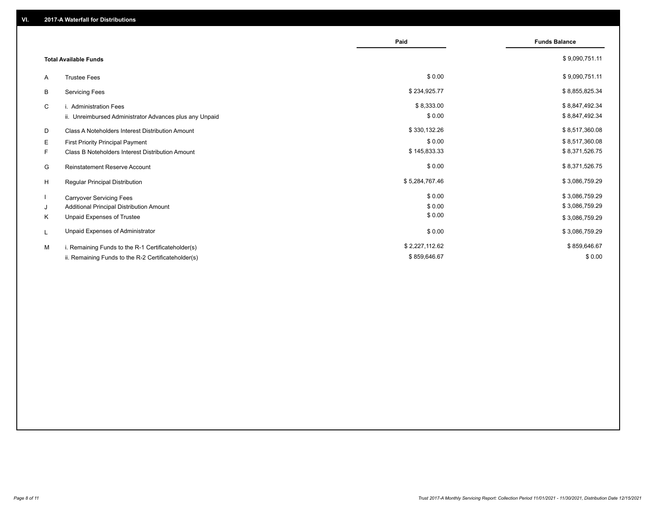|    |                                                         | Paid           | <b>Funds Balance</b> |
|----|---------------------------------------------------------|----------------|----------------------|
|    | <b>Total Available Funds</b>                            |                | \$9,090,751.11       |
| A  | <b>Trustee Fees</b>                                     | \$0.00         | \$9,090,751.11       |
| В  | <b>Servicing Fees</b>                                   | \$234,925.77   | \$8,855,825.34       |
| C  | i. Administration Fees                                  | \$8,333.00     | \$8,847,492.34       |
|    | ii. Unreimbursed Administrator Advances plus any Unpaid | \$0.00         | \$8,847,492.34       |
| D  | Class A Noteholders Interest Distribution Amount        | \$330,132.26   | \$8,517,360.08       |
| Е  | First Priority Principal Payment                        | \$0.00         | \$8,517,360.08       |
| F. | Class B Noteholders Interest Distribution Amount        | \$145,833.33   | \$8,371,526.75       |
| G  | <b>Reinstatement Reserve Account</b>                    | \$0.00         | \$8,371,526.75       |
| H  | Regular Principal Distribution                          | \$5,284,767.46 | \$3,086,759.29       |
|    | <b>Carryover Servicing Fees</b>                         | \$0.00         | \$3,086,759.29       |
| J  | Additional Principal Distribution Amount                | \$0.00         | \$3,086,759.29       |
| Κ  | Unpaid Expenses of Trustee                              | \$0.00         | \$3,086,759.29       |
| L  | Unpaid Expenses of Administrator                        | \$0.00         | \$3,086,759.29       |
| M  | i. Remaining Funds to the R-1 Certificateholder(s)      | \$2,227,112.62 | \$859,646.67         |
|    | ii. Remaining Funds to the R-2 Certificateholder(s)     | \$859,646.67   | \$0.00               |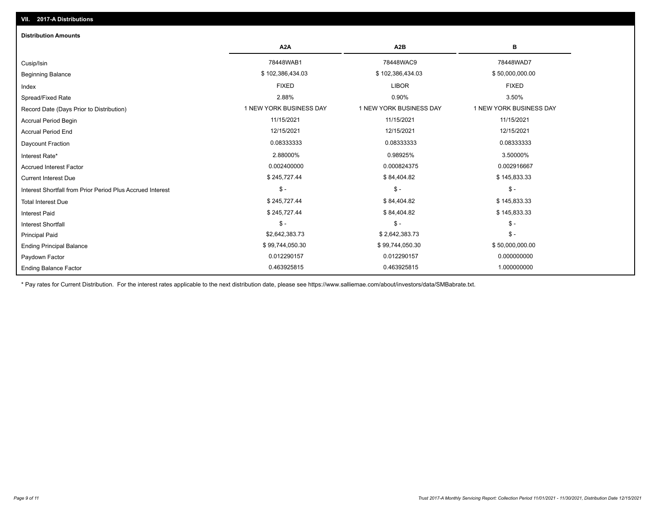| <b>Distribution Amounts</b>                                |                         |                         |                         |
|------------------------------------------------------------|-------------------------|-------------------------|-------------------------|
|                                                            | A <sub>2</sub> A        | A <sub>2</sub> B        | в                       |
| Cusip/Isin                                                 | 78448WAB1               | 78448WAC9               | 78448WAD7               |
| <b>Beginning Balance</b>                                   | \$102,386,434.03        | \$102,386,434.03        | \$50,000,000.00         |
| Index                                                      | <b>FIXED</b>            | <b>LIBOR</b>            | <b>FIXED</b>            |
| Spread/Fixed Rate                                          | 2.88%                   | 0.90%                   | 3.50%                   |
| Record Date (Days Prior to Distribution)                   | 1 NEW YORK BUSINESS DAY | 1 NEW YORK BUSINESS DAY | 1 NEW YORK BUSINESS DAY |
| <b>Accrual Period Begin</b>                                | 11/15/2021              | 11/15/2021              | 11/15/2021              |
| <b>Accrual Period End</b>                                  | 12/15/2021              | 12/15/2021              | 12/15/2021              |
| Daycount Fraction                                          | 0.08333333              | 0.08333333              | 0.08333333              |
| Interest Rate*                                             | 2.88000%                | 0.98925%                | 3.50000%                |
| <b>Accrued Interest Factor</b>                             | 0.002400000             | 0.000824375             | 0.002916667             |
| <b>Current Interest Due</b>                                | \$245,727.44            | \$84,404.82             | \$145,833.33            |
| Interest Shortfall from Prior Period Plus Accrued Interest | $\mathcal{S}$ -         | $\mathsf{\$}$ -         | $$ -$                   |
| <b>Total Interest Due</b>                                  | \$245,727.44            | \$84,404.82             | \$145,833.33            |
| Interest Paid                                              | \$245,727.44            | \$84,404.82             | \$145,833.33            |
| <b>Interest Shortfall</b>                                  | $\mathsf{\$}$ -         | $\mathsf{\$}$ -         | $\mathsf{\$}$ -         |
| <b>Principal Paid</b>                                      | \$2,642,383.73          | \$2,642,383.73          | $\mathcal{S}$ -         |
| <b>Ending Principal Balance</b>                            | \$99,744,050.30         | \$99,744,050.30         | \$50,000,000.00         |
| Paydown Factor                                             | 0.012290157             | 0.012290157             | 0.000000000             |
| <b>Ending Balance Factor</b>                               | 0.463925815             | 0.463925815             | 1.000000000             |

\* Pay rates for Current Distribution. For the interest rates applicable to the next distribution date, please see https://www.salliemae.com/about/investors/data/SMBabrate.txt.

**VII. 2017-A Distributions**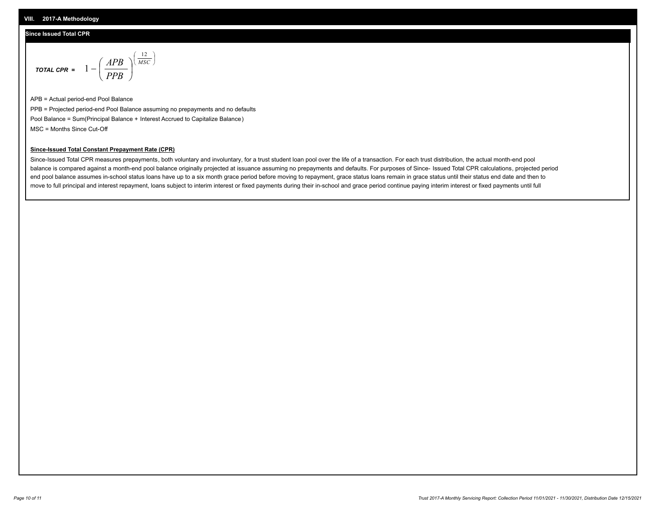## **Since Issued Total CPR**

$$
\text{total cPR} = 1 - \left(\frac{APB}{PPB}\right)^{\left(\frac{12}{MSC}\right)}
$$

APB = Actual period-end Pool Balance PPB = Projected period-end Pool Balance assuming no prepayments and no defaults Pool Balance = Sum(Principal Balance + Interest Accrued to Capitalize Balance) MSC = Months Since Cut-Off

I J Ι

## **Since-Issued Total Constant Prepayment Rate (CPR)**

Since-Issued Total CPR measures prepayments, both voluntary and involuntary, for a trust student loan pool over the life of a transaction. For each trust distribution, the actual month-end pool balance is compared against a month-end pool balance originally projected at issuance assuming no prepayments and defaults. For purposes of Since- Issued Total CPR calculations, projected period end pool balance assumes in-school status loans have up to a six month grace period before moving to repayment, grace status loans remain in grace status until their status end date and then to move to full principal and interest repayment, loans subject to interim interest or fixed payments during their in-school and grace period continue paying interim interest or fixed payments until full